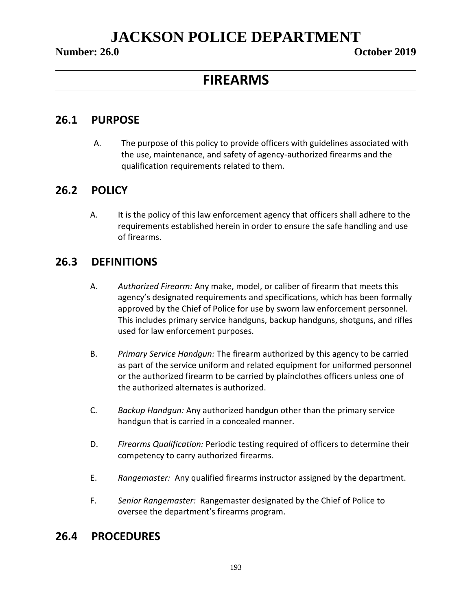### **Number: 26.0 October 2019**

## **FIREARMS**

## **26.1 PURPOSE**

A. The purpose of this policy to provide officers with guidelines associated with the use, maintenance, and safety of agency-authorized firearms and the qualification requirements related to them.

## **26.2 POLICY**

A. It is the policy of this law enforcement agency that officers shall adhere to the requirements established herein in order to ensure the safe handling and use of firearms.

## **26.3 DEFINITIONS**

- A. *Authorized Firearm:* Any make, model, or caliber of firearm that meets this agency's designated requirements and specifications, which has been formally approved by the Chief of Police for use by sworn law enforcement personnel. This includes primary service handguns, backup handguns, shotguns, and rifles used for law enforcement purposes.
- B. *Primary Service Handgun:* The firearm authorized by this agency to be carried as part of the service uniform and related equipment for uniformed personnel or the authorized firearm to be carried by plainclothes officers unless one of the authorized alternates is authorized.
- C. *Backup Handgun:* Any authorized handgun other than the primary service handgun that is carried in a concealed manner.
- D. *Firearms Qualification:* Periodic testing required of officers to determine their competency to carry authorized firearms.
- E. *Rangemaster:* Any qualified firearms instructor assigned by the department.
- F. *Senior Rangemaster:* Rangemaster designated by the Chief of Police to oversee the department's firearms program.

## **26.4 PROCEDURES**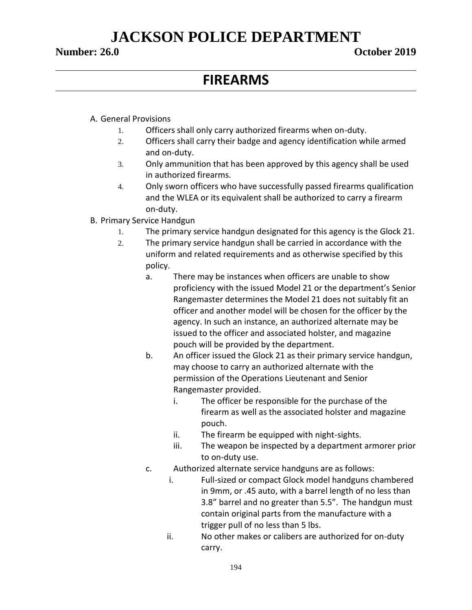### **Number: 26.0 October 2019**

## **FIREARMS**

### A. General Provisions

- 1. Officers shall only carry authorized firearms when on-duty.
- 2. Officers shall carry their badge and agency identification while armed and on-duty.
- 3. Only ammunition that has been approved by this agency shall be used in authorized firearms.
- 4. Only sworn officers who have successfully passed firearms qualification and the WLEA or its equivalent shall be authorized to carry a firearm on-duty.
- B. Primary Service Handgun
	- 1. The primary service handgun designated for this agency is the Glock 21.
	- 2. The primary service handgun shall be carried in accordance with the uniform and related requirements and as otherwise specified by this policy.
		- a. There may be instances when officers are unable to show proficiency with the issued Model 21 or the department's Senior Rangemaster determines the Model 21 does not suitably fit an officer and another model will be chosen for the officer by the agency. In such an instance, an authorized alternate may be issued to the officer and associated holster, and magazine pouch will be provided by the department.
		- b. An officer issued the Glock 21 as their primary service handgun, may choose to carry an authorized alternate with the permission of the Operations Lieutenant and Senior Rangemaster provided.
			- i. The officer be responsible for the purchase of the firearm as well as the associated holster and magazine pouch.
			- ii. The firearm be equipped with night-sights.
			- iii. The weapon be inspected by a department armorer prior to on-duty use.
		- c. Authorized alternate service handguns are as follows:
			- i. Full-sized or compact Glock model handguns chambered in 9mm, or .45 auto, with a barrel length of no less than 3.8" barrel and no greater than 5.5". The handgun must contain original parts from the manufacture with a trigger pull of no less than 5 lbs.
			- ii. No other makes or calibers are authorized for on-duty carry.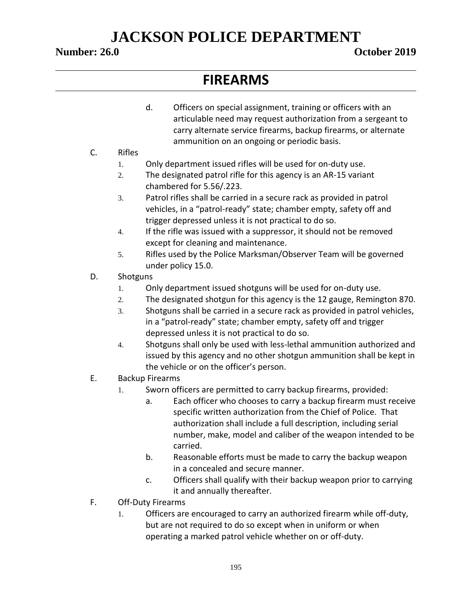## **Number: 26.0 October 2019**

## **FIREARMS**

- d. Officers on special assignment, training or officers with an articulable need may request authorization from a sergeant to carry alternate service firearms, backup firearms, or alternate ammunition on an ongoing or periodic basis.
- C. Rifles
	- 1. Only department issued rifles will be used for on-duty use.
	- 2. The designated patrol rifle for this agency is an AR-15 variant chambered for 5.56/.223.
	- 3. Patrol rifles shall be carried in a secure rack as provided in patrol vehicles, in a "patrol-ready" state; chamber empty, safety off and trigger depressed unless it is not practical to do so.
	- 4. If the rifle was issued with a suppressor, it should not be removed except for cleaning and maintenance.
	- 5. Rifles used by the Police Marksman/Observer Team will be governed under policy 15.0.
- D. Shotguns
	- 1. Only department issued shotguns will be used for on-duty use.
	- 2. The designated shotgun for this agency is the 12 gauge, Remington 870.
	- 3. Shotguns shall be carried in a secure rack as provided in patrol vehicles, in a "patrol-ready" state; chamber empty, safety off and trigger depressed unless it is not practical to do so.
	- 4. Shotguns shall only be used with less-lethal ammunition authorized and issued by this agency and no other shotgun ammunition shall be kept in the vehicle or on the officer's person.
- E. Backup Firearms
	- 1. Sworn officers are permitted to carry backup firearms, provided:
		- a. Each officer who chooses to carry a backup firearm must receive specific written authorization from the Chief of Police. That authorization shall include a full description, including serial number, make, model and caliber of the weapon intended to be carried.
		- b. Reasonable efforts must be made to carry the backup weapon in a concealed and secure manner.
		- c. Officers shall qualify with their backup weapon prior to carrying it and annually thereafter.
- F. Off-Duty Firearms
	- 1. Officers are encouraged to carry an authorized firearm while off-duty, but are not required to do so except when in uniform or when operating a marked patrol vehicle whether on or off-duty.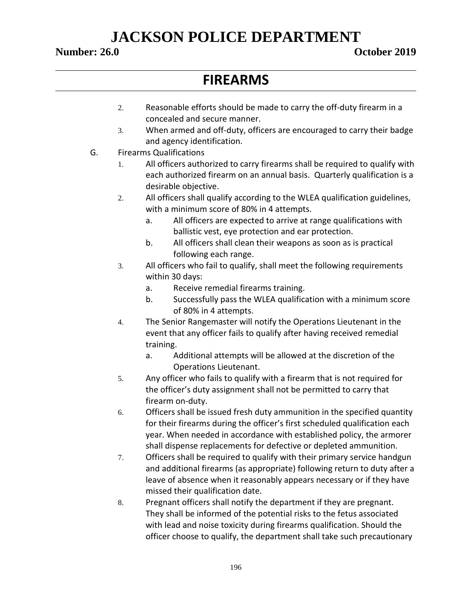### **Number: 26.0 October 2019**

## **FIREARMS**

- 2. Reasonable efforts should be made to carry the off-duty firearm in a concealed and secure manner.
- 3. When armed and off-duty, officers are encouraged to carry their badge and agency identification.
- G. Firearms Qualifications
	- 1. All officers authorized to carry firearms shall be required to qualify with each authorized firearm on an annual basis. Quarterly qualification is a desirable objective.
	- 2. All officers shall qualify according to the WLEA qualification guidelines, with a minimum score of 80% in 4 attempts.
		- a. All officers are expected to arrive at range qualifications with ballistic vest, eye protection and ear protection.
		- b. All officers shall clean their weapons as soon as is practical following each range.
	- 3. All officers who fail to qualify, shall meet the following requirements within 30 days:
		- a. Receive remedial firearms training.
		- b. Successfully pass the WLEA qualification with a minimum score of 80% in 4 attempts.
	- 4. The Senior Rangemaster will notify the Operations Lieutenant in the event that any officer fails to qualify after having received remedial training.
		- a. Additional attempts will be allowed at the discretion of the Operations Lieutenant.
	- 5. Any officer who fails to qualify with a firearm that is not required for the officer's duty assignment shall not be permitted to carry that firearm on-duty.
	- 6. Officers shall be issued fresh duty ammunition in the specified quantity for their firearms during the officer's first scheduled qualification each year. When needed in accordance with established policy, the armorer shall dispense replacements for defective or depleted ammunition.
	- 7. Officers shall be required to qualify with their primary service handgun and additional firearms (as appropriate) following return to duty after a leave of absence when it reasonably appears necessary or if they have missed their qualification date.
	- 8. Pregnant officers shall notify the department if they are pregnant. They shall be informed of the potential risks to the fetus associated with lead and noise toxicity during firearms qualification. Should the officer choose to qualify, the department shall take such precautionary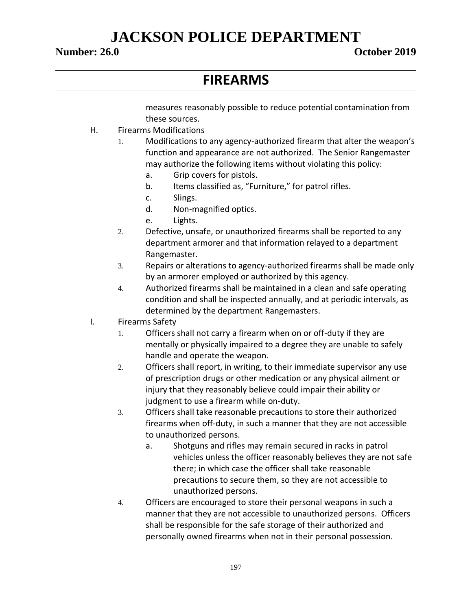## **Number: 26.0 October 2019**

## **FIREARMS**

measures reasonably possible to reduce potential contamination from these sources.

- H. Firearms Modifications
	- 1. Modifications to any agency-authorized firearm that alter the weapon's function and appearance are not authorized. The Senior Rangemaster may authorize the following items without violating this policy:
		- a. Grip covers for pistols.
		- b. Items classified as, "Furniture," for patrol rifles.
		- c. Slings.
		- d. Non-magnified optics.
		- e. Lights.
	- 2. Defective, unsafe, or unauthorized firearms shall be reported to any department armorer and that information relayed to a department Rangemaster.
	- 3. Repairs or alterations to agency-authorized firearms shall be made only by an armorer employed or authorized by this agency.
	- 4. Authorized firearms shall be maintained in a clean and safe operating condition and shall be inspected annually, and at periodic intervals, as determined by the department Rangemasters.
- I. Firearms Safety
	- 1. Officers shall not carry a firearm when on or off-duty if they are mentally or physically impaired to a degree they are unable to safely handle and operate the weapon.
	- 2. Officers shall report, in writing, to their immediate supervisor any use of prescription drugs or other medication or any physical ailment or injury that they reasonably believe could impair their ability or judgment to use a firearm while on-duty.
	- 3. Officers shall take reasonable precautions to store their authorized firearms when off-duty, in such a manner that they are not accessible to unauthorized persons.
		- a. Shotguns and rifles may remain secured in racks in patrol vehicles unless the officer reasonably believes they are not safe there; in which case the officer shall take reasonable precautions to secure them, so they are not accessible to unauthorized persons.
	- 4. Officers are encouraged to store their personal weapons in such a manner that they are not accessible to unauthorized persons. Officers shall be responsible for the safe storage of their authorized and personally owned firearms when not in their personal possession.